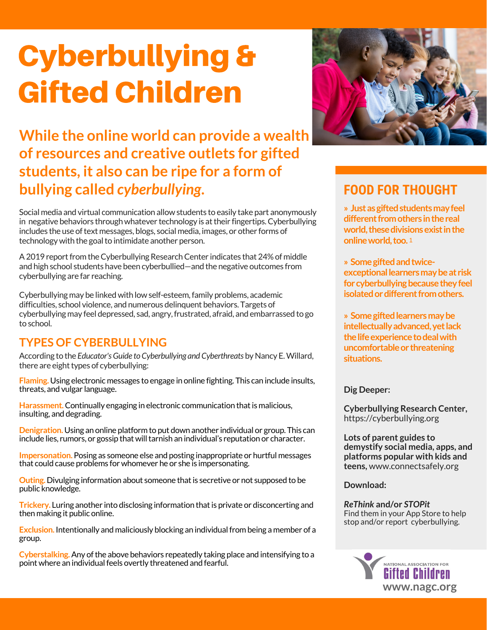# Cyberbullying & Gifted Children

**While the online world can provide a wealth of resources and creative outlets for gifted students, it also can be ripe for a form of bullying called** *cyberbullying***.**

Social media and virtual communication allowstudents to easily take part anonymously in negative behaviors through whatever technology is at their fingertips. Cyberbullying includes the use of text messages, blogs, social media, images, or other forms of technology with the goal to intimidate another person.

A 2019 report from the Cyberbullying Research Center indicates that 24% of middle and high school students have been cyberbullied—and the negative outcomes from cyberbullying are far reaching.

Cyberbullying may be linked with low self-esteem, family problems, academic difficulties, school violence, and numerous delinquent behaviors. Targets of cyberbullying may feel depressed, sad, angry,frustrated, afraid, and embarrassed to go to school.

### **TYPES OF CYBERBULLYING**

According to the *Educator'sGuide toCyberbullying andCyberthreats* by Nancy E.Willard, there are eight types of cyberbullying:

**Flaming.** Using electronic messages to engage in online fighting. This can include insults, threats, and vulgar language.

**Harassment.** Continually engaging in electronic communication that is malicious, insulting, and degrading.

**Denigration.** Using an online platform to put down another individual or group. This can include lies, rumors, or gossip that will tarnish an individual's reputation or character.

**Impersonation.**Posing as someone else and posting inappropriate or hurtful messages that could cause problems for whomever he or she is impersonating.

**Outing.** Divulging information about someone that is secretive or not supposed to be public knowledge.

**Trickery.** Luring another into disclosing information that is private or disconcerting and then making it public online.

**Exclusion.** Intentionally and maliciously blocking an individual from being a member of a group.

**Cyberstalking.**Any ofthe above behaviors repeatedly taking place and intensifying to a point where an individual feels overtly threatened and fearful.



## **FOOD FOR THOUGHT**

**» Justasgiftedstudentsmayfeel different from others in the real** world, these divisions exist in the **onlineworld,too.** 1

**» Somegiftedandtwiceexceptionallearnersmaybeat risk** for cyberbullying because they feel **isolated or different from others.** 

**» Somegiftedlearnersmaybe intellectuallyadvanced,yetlack** the life experience to deal with **uncomfortableor threatening situations.**

**Dig Deeper:**

**Cyberbullying Research Center,** <https://cyberbullying.org>

**Lots of parent guides to demystify social media, apps, and platforms popular with kids and teens,** [www.connectsafely.org](http://www.connectsafely.org)

**Download:**

*ReThink* **and/or** *STOPit* Find them in your App Store to help stop and/or report cyberbullying.